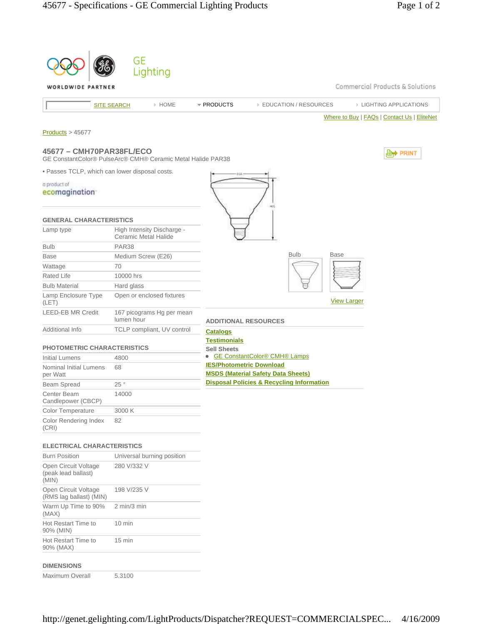|                                                                                         | GE                          |                            |                     |                                                      |                    |                                             |
|-----------------------------------------------------------------------------------------|-----------------------------|----------------------------|---------------------|------------------------------------------------------|--------------------|---------------------------------------------|
|                                                                                         |                             | Lighting                   |                     |                                                      |                    |                                             |
| WORLDWIDE PARTNER                                                                       |                             |                            |                     |                                                      |                    | Commercial Products & Solutions             |
|                                                                                         | <b>SITE SEARCH</b>          | > HOME                     | * PRODUCTS          | <b>EDUCATION / RESOURCES</b>                         |                    | <b>EIGHTING APPLICATIONS</b>                |
|                                                                                         |                             |                            |                     |                                                      |                    | Where to Buy   FAQs   Contact Us   EliteNet |
| Products > 45677                                                                        |                             |                            |                     |                                                      |                    |                                             |
| 45677 - CMH70PAR38FL/ECO<br>GE ConstantColor® PulseArc® CMH® Ceramic Metal Halide PAR38 |                             |                            |                     |                                                      |                    | <b>D</b> <sup>→</sup> PRINT                 |
| . Passes TCLP, which can lower disposal costs.                                          |                             |                            |                     |                                                      |                    |                                             |
| a product of                                                                            |                             |                            |                     |                                                      |                    |                                             |
| ecomagination                                                                           |                             |                            |                     |                                                      |                    |                                             |
|                                                                                         |                             |                            |                     |                                                      |                    |                                             |
| <b>GENERAL CHARACTERISTICS</b>                                                          |                             |                            |                     |                                                      |                    |                                             |
| Lamp type                                                                               |                             | High Intensity Discharge - |                     |                                                      |                    |                                             |
|                                                                                         | <b>Ceramic Metal Halide</b> |                            |                     |                                                      |                    |                                             |
| <b>Bulb</b>                                                                             | <b>PAR38</b>                |                            |                     |                                                      |                    |                                             |
| <b>Base</b>                                                                             | Medium Screw (E26)          |                            |                     | <b>Bulb</b>                                          | <b>Base</b>        |                                             |
| Wattage                                                                                 | 70                          |                            |                     |                                                      |                    |                                             |
| <b>Rated Life</b><br><b>Bulb Material</b>                                               | 10000 hrs                   |                            |                     |                                                      |                    |                                             |
| Lamp Enclosure Type                                                                     | Hard glass                  | Open or enclosed fixtures  |                     |                                                      |                    |                                             |
| (LET)                                                                                   |                             |                            |                     |                                                      | <b>View Larger</b> |                                             |
| <b>LEED-EB MR Credit</b>                                                                | lumen hour                  | 167 picograms Hg per mean  |                     | <b>ADDITIONAL RESOURCES</b>                          |                    |                                             |
| Additional Info                                                                         |                             | TCLP compliant, UV control | <b>Catalogs</b>     |                                                      |                    |                                             |
|                                                                                         |                             |                            | <b>Testimonials</b> |                                                      |                    |                                             |
| <b>PHOTOMETRIC CHARACTERISTICS</b><br><b>Initial Lumens</b>                             | 4800                        |                            | <b>Sell Sheets</b>  | • GE ConstantColor® CMH® Lamps                       |                    |                                             |
| <b>Nominal Initial Lumens</b>                                                           | 68                          |                            |                     | <b>IES/Photometric Download</b>                      |                    |                                             |
| per Watt                                                                                |                             |                            |                     | <b>MSDS (Material Safety Data Sheets)</b>            |                    |                                             |
| Beam Spread                                                                             | 25°                         |                            |                     | <b>Disposal Policies &amp; Recycling Information</b> |                    |                                             |
| Center Beam<br>Candlepower (CBCP)                                                       | 14000                       |                            |                     |                                                      |                    |                                             |
| Color Temperature                                                                       | 3000 K                      |                            |                     |                                                      |                    |                                             |
| Color Rendering Index<br>(CRI)                                                          | 82                          |                            |                     |                                                      |                    |                                             |
|                                                                                         |                             |                            |                     |                                                      |                    |                                             |
| <b>ELECTRICAL CHARACTERISTICS</b>                                                       |                             |                            |                     |                                                      |                    |                                             |
| <b>Burn Position</b><br>Open Circuit Voltage                                            | 280 V/332 V                 | Universal burning position |                     |                                                      |                    |                                             |
| (peak lead ballast)<br>(MIN)                                                            |                             |                            |                     |                                                      |                    |                                             |
| Open Circuit Voltage<br>(RMS lag ballast) (MIN)                                         | 198 V/235 V                 |                            |                     |                                                      |                    |                                             |
| Warm Up Time to 90%<br>(MAX)                                                            | 2 min/3 min                 |                            |                     |                                                      |                    |                                             |
| Hot Restart Time to<br>90% (MIN)                                                        | 10 min                      |                            |                     |                                                      |                    |                                             |
| Hot Restart Time to<br>90% (MAX)                                                        | 15 min                      |                            |                     |                                                      |                    |                                             |
| <b>DIMENSIONS</b>                                                                       |                             |                            |                     |                                                      |                    |                                             |
| Maximum Overall                                                                         | 5.3100                      |                            |                     |                                                      |                    |                                             |